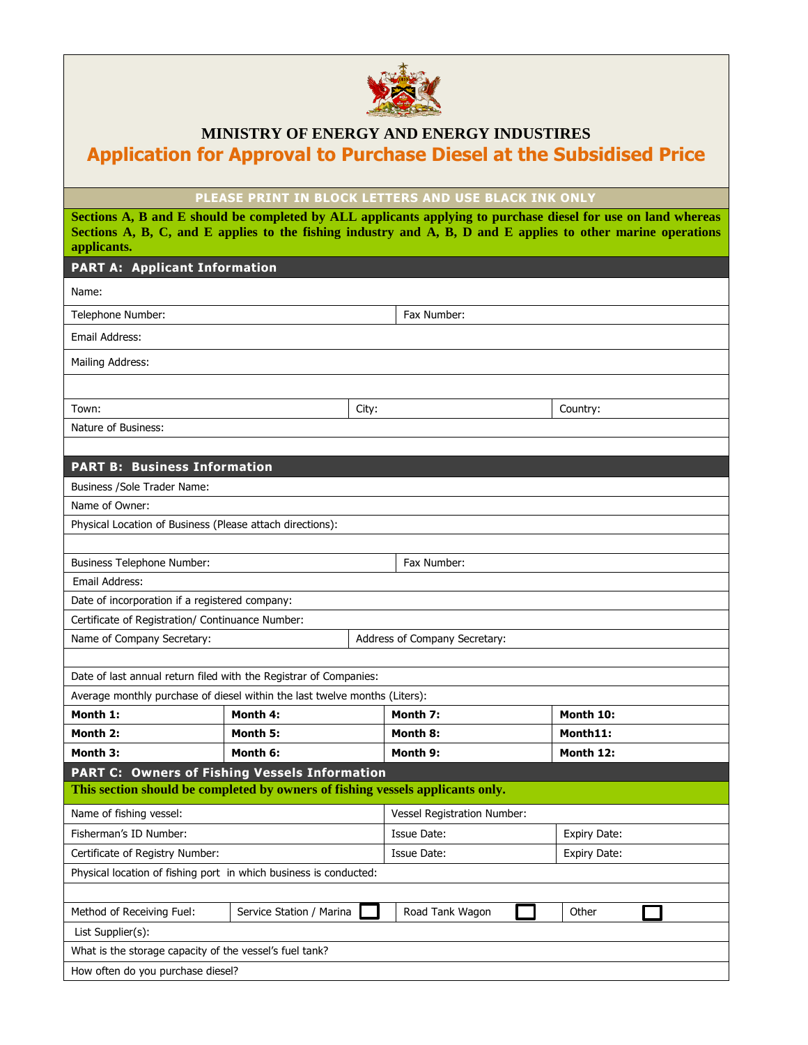

## **MINISTRY OF ENERGY AND ENERGY INDUSTIRES Application for Approval to Purchase Diesel at the Subsidised Price**

**PLEASE PRINT IN BLOCK LETTERS AND USE BLACK INK ONLY**

**Sections A, B and E should be completed by ALL applicants applying to purchase diesel for use on land whereas Sections A, B, C, and E applies to the fishing industry and A, B, D and E applies to other marine operations applicants.**

## **PART A: Applicant Information**

| Name:                                                                          |                          |  |                               |                     |  |  |
|--------------------------------------------------------------------------------|--------------------------|--|-------------------------------|---------------------|--|--|
| Telephone Number:                                                              |                          |  | Fax Number:                   |                     |  |  |
| Email Address:                                                                 |                          |  |                               |                     |  |  |
| Mailing Address:                                                               |                          |  |                               |                     |  |  |
|                                                                                |                          |  |                               |                     |  |  |
| Town:<br>City:                                                                 |                          |  | Country:                      |                     |  |  |
| Nature of Business:                                                            |                          |  |                               |                     |  |  |
|                                                                                |                          |  |                               |                     |  |  |
| <b>PART B: Business Information</b>                                            |                          |  |                               |                     |  |  |
| Business / Sole Trader Name:                                                   |                          |  |                               |                     |  |  |
| Name of Owner:                                                                 |                          |  |                               |                     |  |  |
| Physical Location of Business (Please attach directions):                      |                          |  |                               |                     |  |  |
|                                                                                |                          |  |                               |                     |  |  |
| <b>Business Telephone Number:</b>                                              |                          |  | Fax Number:                   |                     |  |  |
| <b>Email Address:</b>                                                          |                          |  |                               |                     |  |  |
| Date of incorporation if a registered company:                                 |                          |  |                               |                     |  |  |
| Certificate of Registration/ Continuance Number:                               |                          |  |                               |                     |  |  |
| Name of Company Secretary:                                                     |                          |  | Address of Company Secretary: |                     |  |  |
|                                                                                |                          |  |                               |                     |  |  |
| Date of last annual return filed with the Registrar of Companies:              |                          |  |                               |                     |  |  |
| Average monthly purchase of diesel within the last twelve months (Liters):     |                          |  |                               |                     |  |  |
| Month 1:                                                                       | Month 4:                 |  | Month 7:                      | Month 10:           |  |  |
| Month 2:                                                                       | Month 5:                 |  | Month 8:                      | Month11:            |  |  |
| Month 3:                                                                       | Month 6:                 |  | Month 9:                      | Month 12:           |  |  |
| <b>PART C: Owners of Fishing Vessels Information</b>                           |                          |  |                               |                     |  |  |
| This section should be completed by owners of fishing vessels applicants only. |                          |  |                               |                     |  |  |
| Name of fishing vessel:                                                        |                          |  | Vessel Registration Number:   |                     |  |  |
| Fisherman's ID Number:                                                         |                          |  | <b>Issue Date:</b>            | Expiry Date:        |  |  |
| Certificate of Registry Number:                                                |                          |  | Issue Date:                   | <b>Expiry Date:</b> |  |  |
| Physical location of fishing port in which business is conducted:              |                          |  |                               |                     |  |  |
|                                                                                |                          |  |                               |                     |  |  |
| Method of Receiving Fuel:                                                      | Service Station / Marina |  | Road Tank Wagon               | Other               |  |  |
| List Supplier(s):                                                              |                          |  |                               |                     |  |  |
| What is the storage capacity of the vessel's fuel tank?                        |                          |  |                               |                     |  |  |
| How often do you purchase diesel?                                              |                          |  |                               |                     |  |  |